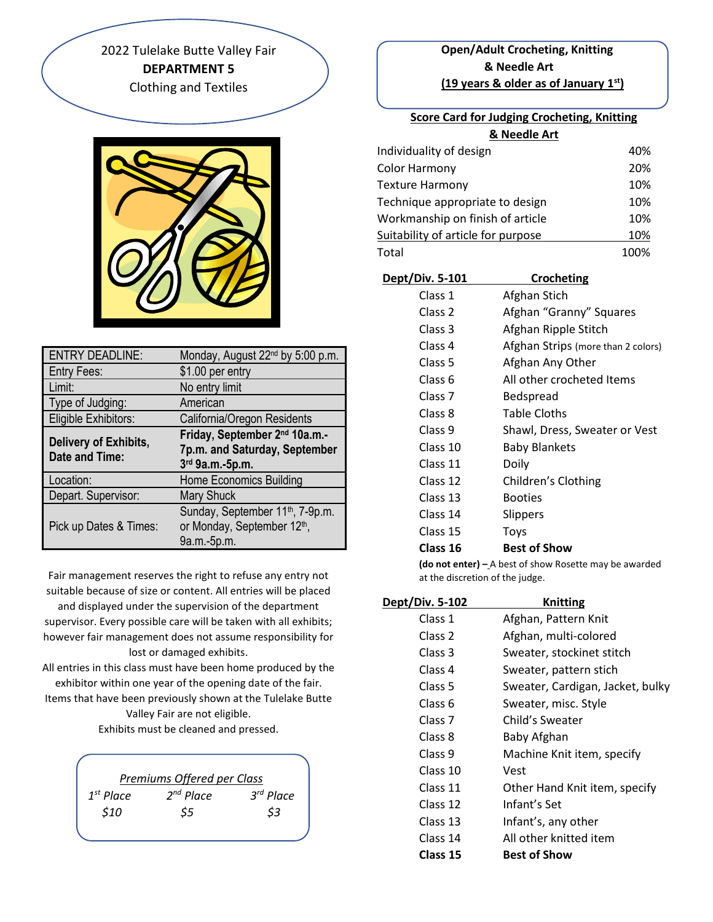2022 Tulelake Butte Valley Fair **DEPARTMENT 5** Clothing and Textiles



| <b>ENTRY DEADLINE:</b>                         | Monday, August 22 <sup>nd</sup> by 5:00 p.m.                                                  |
|------------------------------------------------|-----------------------------------------------------------------------------------------------|
| Entry Fees:                                    | \$1.00 per entry                                                                              |
| Limit:                                         | No entry limit                                                                                |
| Type of Judging:                               | American                                                                                      |
| Eligible Exhibitors:                           | California/Oregon Residents                                                                   |
| Delivery of Exhibits,<br><b>Date and Time:</b> | Friday, September 2 <sup>nd</sup> 10a.m.-<br>7p.m. and Saturday, September<br>3rd 9a.m.-5p.m. |
| Location:                                      | Home Economics Building                                                                       |
| Depart. Supervisor:                            | Mary Shuck                                                                                    |
| Pick up Dates & Times:                         | Sunday, September 11 <sup>th</sup> , 7-9p.m.<br>or Monday, September 12th,<br>9a.m.-5p.m.     |

Fair management reserves the right to refuse any entry not suitable because of size or content. All entries will be placed and displayed under the supervision of the department supervisor. Every possible care will be taken with all exhibits; however fair management does not assume responsibility for lost or damaged exhibits.

All entries in this class must have been home produced by the exhibitor within one year of the opening date of the fair.

Items that have been previously shown at the Tulelake Butte Valley Fair are not eligible.

Exhibits must be cleaned and pressed.

|                | Premiums Offered per Class |           |
|----------------|----------------------------|-----------|
| $1^{st}$ Place | $2nd$ Place                | 3rd Place |
| \$10           | \$5                        | \$3       |
|                |                            |           |

## **Open/Adult Crocheting, Knitting & Needle Art (19 years & older as of January 1st)**

| <b>Score Card for Judging Crocheting, Knitting</b> |      |
|----------------------------------------------------|------|
| & Needle Art                                       |      |
| Individuality of design                            | 40%  |
| Color Harmony                                      | 20%  |
| Texture Harmony                                    | 10%  |
| Technique appropriate to design                    | 10%  |
| Workmanship on finish of article                   | 10%  |
| Suitability of article for purpose                 | 10%  |
| Total                                              | 100% |
|                                                    |      |

| Dept/Div. 5-101    | Crocheting                         |
|--------------------|------------------------------------|
| Class 1            | Afghan Stich                       |
| Class 2            | Afghan "Granny" Squares            |
| Class 3            | Afghan Ripple Stitch               |
| Class 4            | Afghan Strips (more than 2 colors) |
| Class 5            | Afghan Any Other                   |
| Class 6            | All other crocheted Items          |
| Class <sub>7</sub> | Bedspread                          |
| Class 8            | <b>Table Cloths</b>                |
| Class 9            | Shawl, Dress, Sweater or Vest      |
| Class 10           | <b>Baby Blankets</b>               |
| Class 11           | Doily                              |
| Class 12           | Children's Clothing                |
| Class 13           | <b>Booties</b>                     |
| Class 14           | Slippers                           |
| Class 15           | Toys                               |
| Class 16           | <b>Best of Show</b>                |
|                    |                                    |

**(do not enter) –** A best of show Rosette may be awarded at the discretion of the judge.

| Dept/Div. 5-102    | <b>Knitting</b>                  |
|--------------------|----------------------------------|
| Class 1            | Afghan, Pattern Knit             |
| Class 2            | Afghan, multi-colored            |
| Class 3            | Sweater, stockinet stitch        |
| Class 4            | Sweater, pattern stich           |
| Class 5            | Sweater, Cardigan, Jacket, bulky |
| Class 6            | Sweater, misc. Style             |
| Class <sub>7</sub> | Child's Sweater                  |
| Class 8            | Baby Afghan                      |
| Class 9            | Machine Knit item, specify       |
| Class 10           | Vest                             |
| Class 11           | Other Hand Knit item, specify    |
| Class 12           | Infant's Set                     |
| Class 13           | Infant's, any other              |
| Class 14           | All other knitted item           |
| Class 15           | <b>Best of Show</b>              |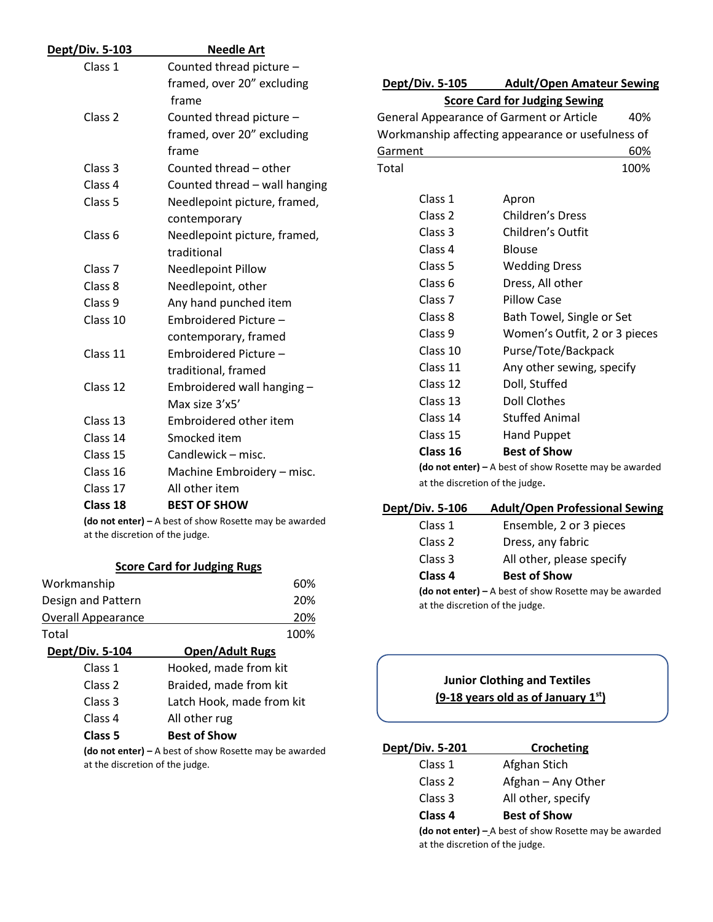| Dept/Div. 5-103    | <b>Needle Art</b>                                      |                        |                                                        |
|--------------------|--------------------------------------------------------|------------------------|--------------------------------------------------------|
| Class 1            | Counted thread picture -                               |                        |                                                        |
|                    | framed, over 20" excluding                             | <b>Dept/Div. 5-105</b> | <b>Adult/Open Amateur Sewing</b>                       |
|                    | frame                                                  |                        | <b>Score Card for Judging Sewing</b>                   |
| Class 2            | Counted thread picture -                               |                        | General Appearance of Garment or Article<br>40%        |
|                    | framed, over 20" excluding                             |                        | Workmanship affecting appearance or usefulness of      |
|                    | frame                                                  | Garment                | 60%                                                    |
| Class 3            | Counted thread - other                                 | Total                  | 100%                                                   |
| Class 4            | Counted thread - wall hanging                          |                        |                                                        |
| Class <sub>5</sub> | Needlepoint picture, framed,                           | Class 1                | Apron                                                  |
|                    | contemporary                                           | Class <sub>2</sub>     | <b>Children's Dress</b>                                |
| Class 6            | Needlepoint picture, framed,                           | Class 3                | Children's Outfit                                      |
|                    | traditional                                            | Class 4                | <b>Blouse</b>                                          |
| Class <sub>7</sub> | Needlepoint Pillow                                     | Class 5                | <b>Wedding Dress</b>                                   |
| Class 8            | Needlepoint, other                                     | Class <sub>6</sub>     | Dress, All other                                       |
| Class 9            | Any hand punched item                                  | Class <sub>7</sub>     | <b>Pillow Case</b>                                     |
| Class 10           | Embroidered Picture -                                  | Class 8                | Bath Towel, Single or Set                              |
|                    | contemporary, framed                                   | Class 9                | Women's Outfit, 2 or 3 pieces                          |
| Class 11           | Embroidered Picture -                                  | Class 10               | Purse/Tote/Backpack                                    |
|                    | traditional, framed                                    | Class 11               | Any other sewing, specify                              |
| Class 12           | Embroidered wall hanging -                             | Class 12               | Doll, Stuffed                                          |
|                    | Max size 3'x5'                                         | Class 13               | <b>Doll Clothes</b>                                    |
| Class 13           | Embroidered other item                                 | Class 14               | <b>Stuffed Animal</b>                                  |
| Class 14           | Smocked item                                           | Class 15               | <b>Hand Puppet</b>                                     |
| Class 15           | Candlewick – misc.                                     | Class 16               | <b>Best of Show</b>                                    |
| Class 16           | Machine Embroidery - misc.                             |                        | (do not enter) - A best of show Rosette may be awarded |
| Class 17           | All other item                                         |                        | at the discretion of the judge.                        |
| Class 18           | <b>BEST OF SHOW</b>                                    | Dept/Div. 5-106        | <b>Adult/Open Professional Sewing</b>                  |
|                    | (do not enter) - A best of show Rosette may be awarded | Class 1                | Ensemble, 2 or 3 pieces                                |

at the discretion of the judge.

| <b>Score Card for Judging Rugs</b> |                           |  |
|------------------------------------|---------------------------|--|
| Workmanship                        | 60%                       |  |
| Design and Pattern                 | 20%                       |  |
| <b>Overall Appearance</b>          | 20%                       |  |
| Total                              | 100%                      |  |
| <b>Dept/Div. 5-104</b>             | <b>Open/Adult Rugs</b>    |  |
| Class 1                            | Hooked, made from kit     |  |
| Class <sub>2</sub>                 | Braided, made from kit    |  |
| Class 3                            | Latch Hook, made from kit |  |
| Class 4                            | All other rug             |  |
| Class 5                            | <b>Best of Show</b>       |  |
|                                    |                           |  |

**(do not enter) –** A best of show Rosette may be awarded at the discretion of the judge.

Class 3 All other, please specify **Class 4 Best of Show (do not enter) –** A best of show Rosette may be awarded at the discretion of the judge.

# **Junior Clothing and Textiles (9-18 years old as of January 1st)**

Class 2 Dress, any fabric

| Dept/Div. 5-201                                                                             | Crocheting          |
|---------------------------------------------------------------------------------------------|---------------------|
| Class 1                                                                                     | Afghan Stich        |
| Class 2                                                                                     | Afghan - Any Other  |
| Class 3                                                                                     | All other, specify  |
| Class <sub>4</sub>                                                                          | <b>Best of Show</b> |
| (do not enter) $-$ A best of show Rosette may be awarded<br>at the discretion of the judge. |                     |